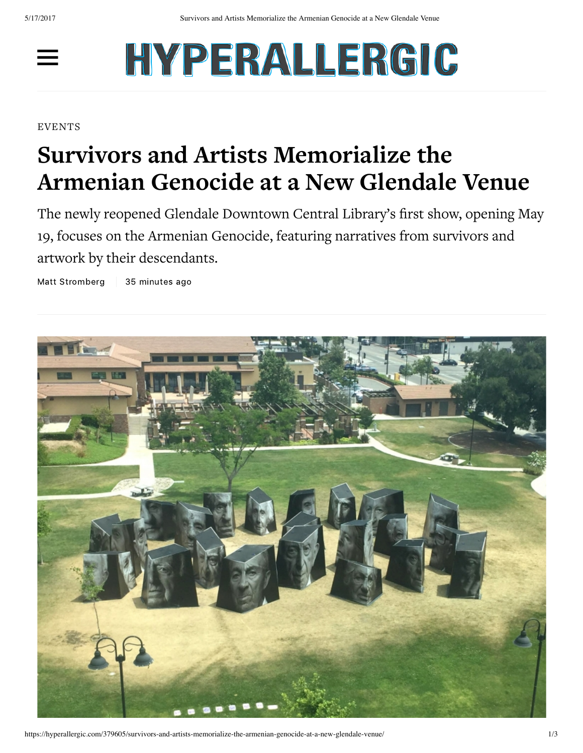$\equiv$ 

## HYPERALLERGIC

## **EVENTS**

## **Survivors and Artists Memorialize the Armenian Genocide at a New Glendale Venue**

The newly reopened Glendale Downtown Central Library's first show, opening May 19, focuses on the Armenian Genocide, featuring narratives from survivors and artwork by their descendants.

Matt [Stromberg](https://hyperallergic.com/author/matt-stromberg/) | 35 [minutes](https://hyperallergic.com/date/2017/05/16/) ago